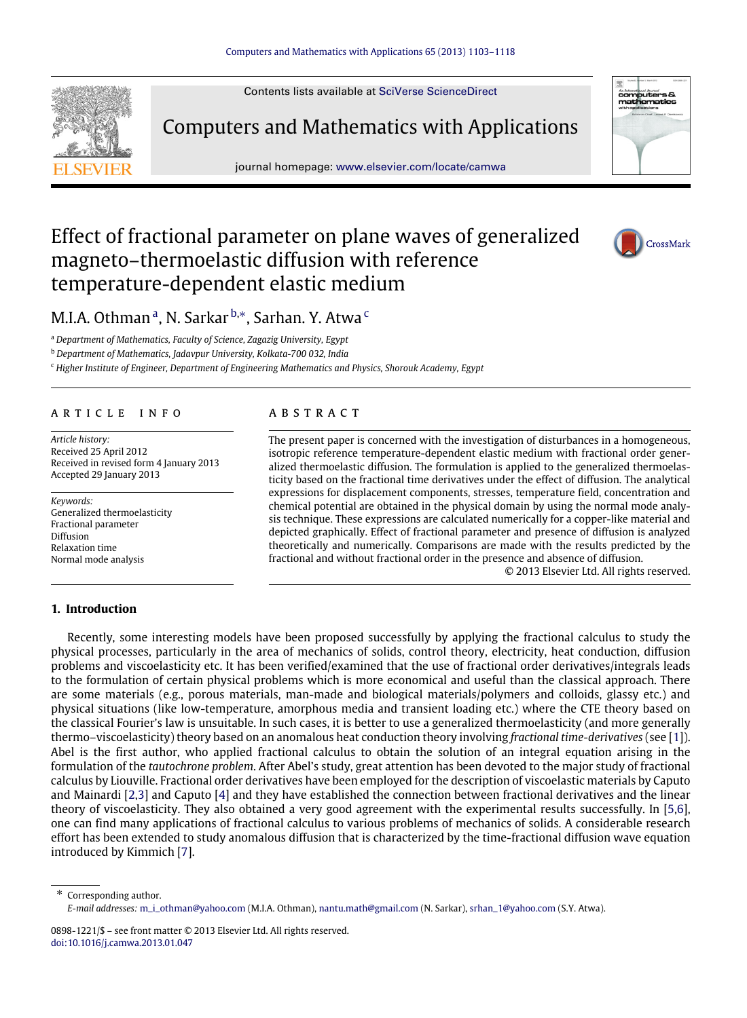Contents lists available at [SciVerse ScienceDirect](http://www.elsevier.com/locate/camwa)



Computers and Mathematics with Applications

journal homepage: [www.elsevier.com/locate/camwa](http://www.elsevier.com/locate/camwa)



# Effect of fractional parameter on plane waves of generalized magneto–thermoelastic diffusion with reference temperature-dependent elastic medium



M.I.A. Othm[a](#page-0-0)n<sup>a</sup>, N. Sarkar <sup>[b,](#page-0-1)</sup>\*, Sarhan. Y. Atwa <sup>[c](#page-0-3)</sup>

<span id="page-0-0"></span><sup>a</sup> *Department of Mathematics, Faculty of Science, Zagazig University, Egypt*

<span id="page-0-1"></span><sup>b</sup> *Department of Mathematics, Jadavpur University, Kolkata-700 032, India*

<span id="page-0-3"></span><sup>c</sup> *Higher Institute of Engineer, Department of Engineering Mathematics and Physics, Shorouk Academy, Egypt*

#### ARTICLE INFO

*Article history:* Received 25 April 2012 Received in revised form 4 January 2013 Accepted 29 January 2013

*Keywords:* Generalized thermoelasticity Fractional parameter Diffusion Relaxation time Normal mode analysis

# **1. Introduction**

## a b s t r a c t

The present paper is concerned with the investigation of disturbances in a homogeneous, isotropic reference temperature-dependent elastic medium with fractional order generalized thermoelastic diffusion. The formulation is applied to the generalized thermoelasticity based on the fractional time derivatives under the effect of diffusion. The analytical expressions for displacement components, stresses, temperature field, concentration and chemical potential are obtained in the physical domain by using the normal mode analysis technique. These expressions are calculated numerically for a copper-like material and depicted graphically. Effect of fractional parameter and presence of diffusion is analyzed theoretically and numerically. Comparisons are made with the results predicted by the fractional and without fractional order in the presence and absence of diffusion.

© 2013 Elsevier Ltd. All rights reserved.

Recently, some interesting models have been proposed successfully by applying the fractional calculus to study the physical processes, particularly in the area of mechanics of solids, control theory, electricity, heat conduction, diffusion problems and viscoelasticity etc. It has been verified/examined that the use of fractional order derivatives/integrals leads to the formulation of certain physical problems which is more economical and useful than the classical approach. There are some materials (e.g., porous materials, man-made and biological materials/polymers and colloids, glassy etc.) and physical situations (like low-temperature, amorphous media and transient loading etc.) where the CTE theory based on the classical Fourier's law is unsuitable. In such cases, it is better to use a generalized thermoelasticity (and more generally thermo–viscoelasticity) theory based on an anomalous heat conduction theory involving *fractional time-derivatives* (see [\[1\]](#page-14-0)). Abel is the first author, who applied fractional calculus to obtain the solution of an integral equation arising in the formulation of the *tautochrone problem*. After Abel's study, great attention has been devoted to the major study of fractional calculus by Liouville. Fractional order derivatives have been employed for the description of viscoelastic materials by Caputo and Mainardi [\[2,](#page-14-1)[3\]](#page-14-2) and Caputo [\[4\]](#page-14-3) and they have established the connection between fractional derivatives and the linear theory of viscoelasticity. They also obtained a very good agreement with the experimental results successfully. In [\[5,](#page-14-4)[6\]](#page-14-5), one can find many applications of fractional calculus to various problems of mechanics of solids. A considerable research effort has been extended to study anomalous diffusion that is characterized by the time-fractional diffusion wave equation introduced by Kimmich [\[7\]](#page-14-6).

<span id="page-0-2"></span>Corresponding author. *E-mail addresses:* [m\\_i\\_othman@yahoo.com](mailto:m_i_othman@yahoo.com) (M.I.A. Othman), [nantu.math@gmail.com](mailto:nantu.math@gmail.com) (N. Sarkar), [srhan\\_1@yahoo.com](mailto:srhan_1@yahoo.com) (S.Y. Atwa).

<sup>0898-1221/\$ –</sup> see front matter © 2013 Elsevier Ltd. All rights reserved. [doi:10.1016/j.camwa.2013.01.047](http://dx.doi.org/10.1016/j.camwa.2013.01.047)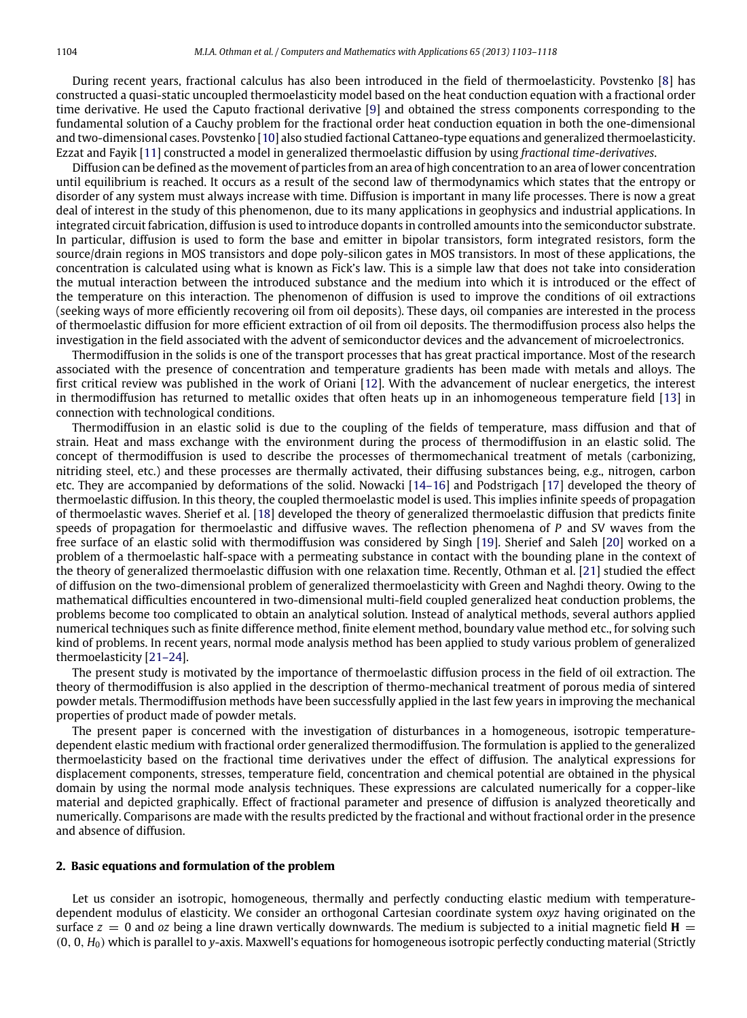During recent years, fractional calculus has also been introduced in the field of thermoelasticity. Povstenko [\[8\]](#page-14-7) has constructed a quasi-static uncoupled thermoelasticity model based on the heat conduction equation with a fractional order time derivative. He used the Caputo fractional derivative [\[9\]](#page-14-8) and obtained the stress components corresponding to the fundamental solution of a Cauchy problem for the fractional order heat conduction equation in both the one-dimensional and two-dimensional cases. Povstenko [\[10\]](#page-14-9) also studied factional Cattaneo-type equations and generalized thermoelasticity. Ezzat and Fayik [\[11\]](#page-14-10) constructed a model in generalized thermoelastic diffusion by using *fractional time-derivatives*.

Diffusion can be defined as the movement of particles from an area of high concentration to an area of lower concentration until equilibrium is reached. It occurs as a result of the second law of thermodynamics which states that the entropy or disorder of any system must always increase with time. Diffusion is important in many life processes. There is now a great deal of interest in the study of this phenomenon, due to its many applications in geophysics and industrial applications. In integrated circuit fabrication, diffusion is used to introduce dopants in controlled amounts into the semiconductor substrate. In particular, diffusion is used to form the base and emitter in bipolar transistors, form integrated resistors, form the source/drain regions in MOS transistors and dope poly-silicon gates in MOS transistors. In most of these applications, the concentration is calculated using what is known as Fick's law. This is a simple law that does not take into consideration the mutual interaction between the introduced substance and the medium into which it is introduced or the effect of the temperature on this interaction. The phenomenon of diffusion is used to improve the conditions of oil extractions (seeking ways of more efficiently recovering oil from oil deposits). These days, oil companies are interested in the process of thermoelastic diffusion for more efficient extraction of oil from oil deposits. The thermodiffusion process also helps the investigation in the field associated with the advent of semiconductor devices and the advancement of microelectronics.

Thermodiffusion in the solids is one of the transport processes that has great practical importance. Most of the research associated with the presence of concentration and temperature gradients has been made with metals and alloys. The first critical review was published in the work of Oriani [\[12\]](#page-14-11). With the advancement of nuclear energetics, the interest in thermodiffusion has returned to metallic oxides that often heats up in an inhomogeneous temperature field [\[13\]](#page-14-12) in connection with technological conditions.

Thermodiffusion in an elastic solid is due to the coupling of the fields of temperature, mass diffusion and that of strain. Heat and mass exchange with the environment during the process of thermodiffusion in an elastic solid. The concept of thermodiffusion is used to describe the processes of thermomechanical treatment of metals (carbonizing, nitriding steel, etc.) and these processes are thermally activated, their diffusing substances being, e.g., nitrogen, carbon etc. They are accompanied by deformations of the solid. Nowacki [\[14–16\]](#page-14-13) and Podstrigach [\[17\]](#page-15-0) developed the theory of thermoelastic diffusion. In this theory, the coupled thermoelastic model is used. This implies infinite speeds of propagation of thermoelastic waves. Sherief et al. [\[18\]](#page-15-1) developed the theory of generalized thermoelastic diffusion that predicts finite speeds of propagation for thermoelastic and diffusive waves. The reflection phenomena of *P* and SV waves from the free surface of an elastic solid with thermodiffusion was considered by Singh [\[19\]](#page-15-2). Sherief and Saleh [\[20\]](#page-15-3) worked on a problem of a thermoelastic half-space with a permeating substance in contact with the bounding plane in the context of the theory of generalized thermoelastic diffusion with one relaxation time. Recently, Othman et al. [\[21\]](#page-15-4) studied the effect of diffusion on the two-dimensional problem of generalized thermoelasticity with Green and Naghdi theory. Owing to the mathematical difficulties encountered in two-dimensional multi-field coupled generalized heat conduction problems, the problems become too complicated to obtain an analytical solution. Instead of analytical methods, several authors applied numerical techniques such as finite difference method, finite element method, boundary value method etc., for solving such kind of problems. In recent years, normal mode analysis method has been applied to study various problem of generalized thermoelasticity [\[21–24\]](#page-15-4).

The present study is motivated by the importance of thermoelastic diffusion process in the field of oil extraction. The theory of thermodiffusion is also applied in the description of thermo-mechanical treatment of porous media of sintered powder metals. Thermodiffusion methods have been successfully applied in the last few years in improving the mechanical properties of product made of powder metals.

The present paper is concerned with the investigation of disturbances in a homogeneous, isotropic temperaturedependent elastic medium with fractional order generalized thermodiffusion. The formulation is applied to the generalized thermoelasticity based on the fractional time derivatives under the effect of diffusion. The analytical expressions for displacement components, stresses, temperature field, concentration and chemical potential are obtained in the physical domain by using the normal mode analysis techniques. These expressions are calculated numerically for a copper-like material and depicted graphically. Effect of fractional parameter and presence of diffusion is analyzed theoretically and numerically. Comparisons are made with the results predicted by the fractional and without fractional order in the presence and absence of diffusion.

#### **2. Basic equations and formulation of the problem**

Let us consider an isotropic, homogeneous, thermally and perfectly conducting elastic medium with temperaturedependent modulus of elasticity. We consider an orthogonal Cartesian coordinate system *oxyz* having originated on the surface  $z = 0$  and *oz* being a line drawn vertically downwards. The medium is subjected to a initial magnetic field  $H =$ (0, 0, *H*0) which is parallel to *y*-axis. Maxwell's equations for homogeneous isotropic perfectly conducting material (Strictly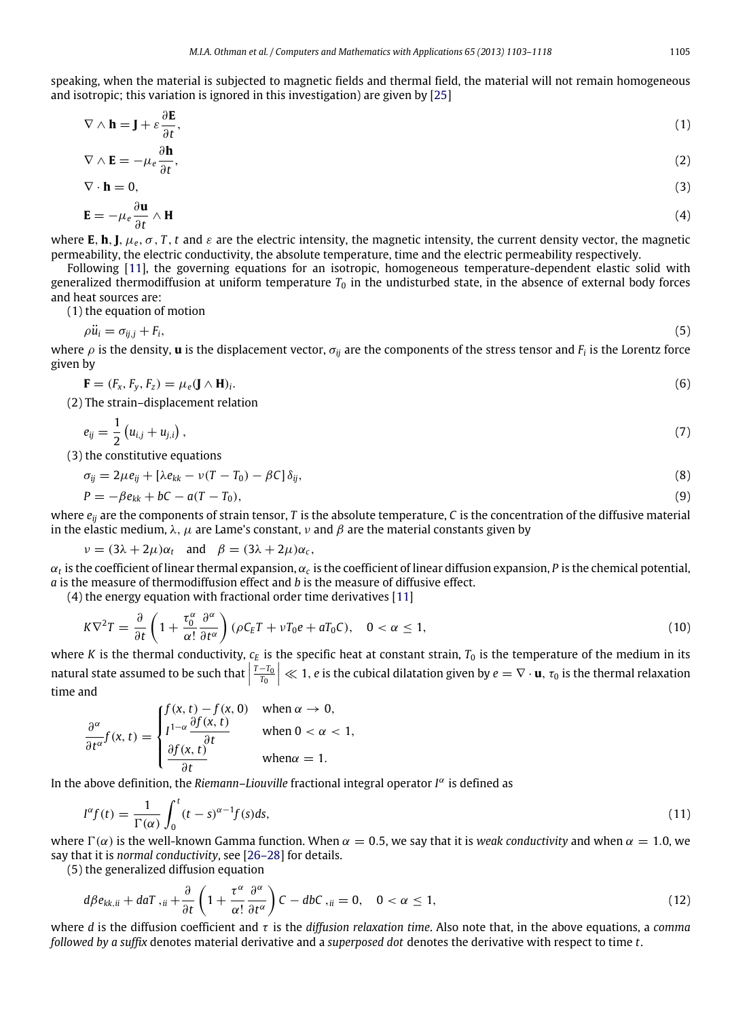speaking, when the material is subjected to magnetic fields and thermal field, the material will not remain homogeneous and isotropic; this variation is ignored in this investigation) are given by [\[25\]](#page-15-5)

<span id="page-2-0"></span>
$$
\nabla \wedge \mathbf{h} = \mathbf{J} + \varepsilon \frac{\partial \mathbf{E}}{\partial t},\tag{1}
$$

$$
\nabla \wedge \mathbf{E} = -\mu_e \frac{\partial \mathbf{h}}{\partial t},\tag{2}
$$

$$
\nabla \cdot \mathbf{h} = 0,\tag{3}
$$

$$
\mathbf{E} = -\mu_e \frac{\partial \mathbf{E}}{\partial t} \wedge \mathbf{H} \tag{4}
$$

where **E**, **h**, **J**,  $\mu_e$ ,  $\sigma$ , *T*, *t* and  $\varepsilon$  are the electric intensity, the magnetic intensity, the current density vector, the magnetic permeability, the electric conductivity, the absolute temperature, time and the electric permeability respectively.

Following [\[11\]](#page-14-10), the governing equations for an isotropic, homogeneous temperature-dependent elastic solid with generalized thermodiffusion at uniform temperature  $T_0$  in the undisturbed state, in the absence of external body forces and heat sources are:

(1) the equation of motion

<span id="page-2-4"></span><span id="page-2-1"></span>
$$
\rho \ddot{u}_i = \sigma_{ij,j} + F_i,\tag{5}
$$

where  $\rho$  is the density, **u** is the displacement vector,  $\sigma_{ij}$  are the components of the stress tensor and  $F_i$  is the Lorentz force given by

$$
\mathbf{F} = (F_x, F_y, F_z) = \mu_e (\mathbf{J} \wedge \mathbf{H})_i. \tag{6}
$$

(2) The strain–displacement relation

<span id="page-2-2"></span>
$$
e_{ij} = \frac{1}{2} \left( u_{i,j} + u_{j,i} \right), \tag{7}
$$

(3) the constitutive equations

$$
\sigma_{ij} = 2\mu e_{ij} + [\lambda e_{kk} - \nu (T - T_0) - \beta C] \delta_{ij},\tag{8}
$$

<span id="page-2-3"></span>
$$
P = -\beta e_{kk} + bC - a(T - T_0),\tag{9}
$$

where *eij* are the components of strain tensor, *T* is the absolute temperature, *C* is the concentration of the diffusive material in the elastic medium,  $\lambda$ ,  $\mu$  are Lame's constant,  $\nu$  and  $\beta$  are the material constants given by

 $\nu = (3\lambda + 2\mu)\alpha_t$  and  $\beta = (3\lambda + 2\mu)\alpha_c$ ,

 $\alpha_t$  is the coefficient of linear thermal expansion,  $\alpha_c$  is the coefficient of linear diffusion expansion, P is the chemical potential, *a* is the measure of thermodiffusion effect and *b* is the measure of diffusive effect.

(4) the energy equation with fractional order time derivatives [\[11\]](#page-14-10)

<span id="page-2-5"></span>
$$
K\nabla^2 T = \frac{\partial}{\partial t} \left( 1 + \frac{\tau_0^{\alpha}}{\alpha!} \frac{\partial^{\alpha}}{\partial t^{\alpha}} \right) (\rho C_E T + \nu T_0 e + aT_0 C), \quad 0 < \alpha \le 1,\tag{10}
$$

where *K* is the thermal conductivity,  $c_E$  is the specific heat at constant strain,  $T_0$  is the temperature of the medium in its natural state assumed to be such that  $\left| \frac{\overline{T-T_0}}{\overline{T_0}} \right|$  $\leq 1$ , *e* is the cubical dilatation given by  $e = \nabla \cdot \mathbf{u}$ ,  $\tau_0$  is the thermal relaxation time and

$$
\frac{\partial^{\alpha}}{\partial t^{\alpha}} f(x, t) = \begin{cases} f(x, t) - f(x, 0) & \text{when } \alpha \to 0, \\ I^{1-\alpha} \frac{\partial f(x, t)}{\partial t} & \text{when } 0 < \alpha < 1, \\ \frac{\partial f(x, t)}{\partial t} & \text{when } \alpha = 1. \end{cases}
$$

In the above definition, the *Riemann-Liouville* fractional integral operator *I<sup>α</sup>* is defined as

$$
I^{\alpha}f(t) = \frac{1}{\Gamma(\alpha)} \int_0^t (t - s)^{\alpha - 1} f(s) ds,
$$
\n(11)

where  $\Gamma(\alpha)$  is the well-known Gamma function. When  $\alpha = 0.5$ , we say that it is *weak conductivity* and when  $\alpha = 1.0$ , we say that it is *normal conductivity*, see [\[26–28\]](#page-15-6) for details.

(5) the generalized diffusion equation

<span id="page-2-6"></span>
$$
d\beta e_{kk,ii} + daT,_{ii} + \frac{\partial}{\partial t} \left( 1 + \frac{\tau^{\alpha}}{\alpha!} \frac{\partial^{\alpha}}{\partial t^{\alpha}} \right) C - dbC,_{ii} = 0, \quad 0 < \alpha \le 1,\tag{12}
$$

where *d* is the diffusion coefficient and τ is the *diffusion relaxation time*. Also note that, in the above equations, a *comma followed by a suffix* denotes material derivative and a *superposed dot* denotes the derivative with respect to time *t*.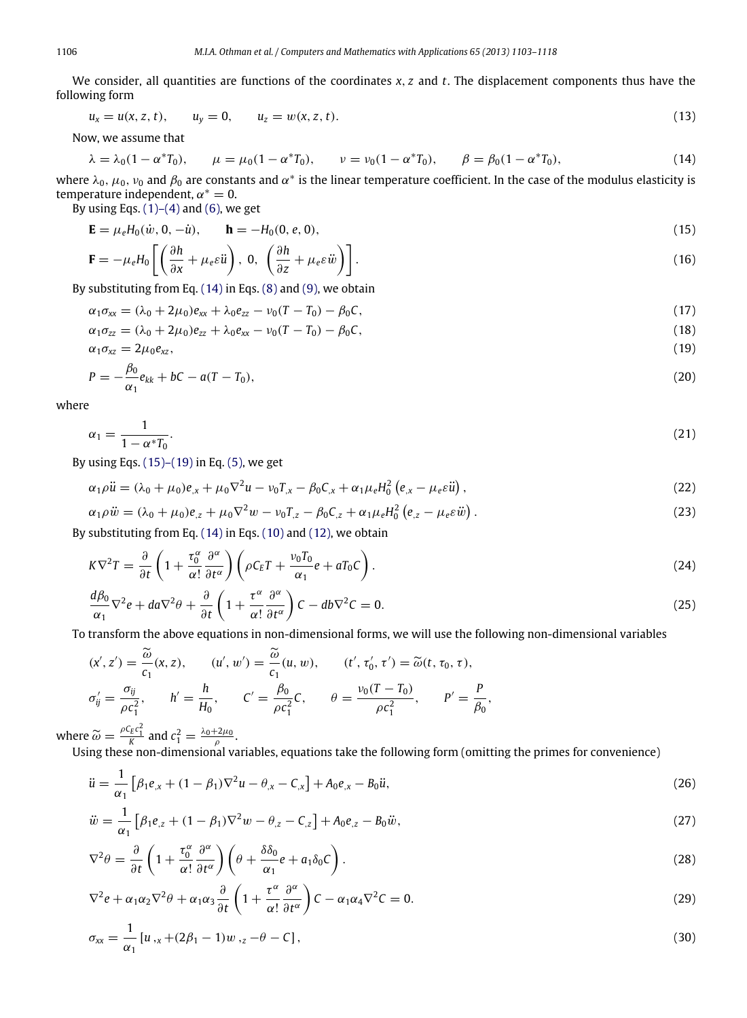We consider, all quantities are functions of the coordinates *x*, *z* and *t*. The displacement components thus have the following form

$$
u_x = u(x, z, t), \qquad u_y = 0, \qquad u_z = w(x, z, t). \tag{13}
$$

Now, we assume that

<span id="page-3-0"></span>
$$
\lambda = \lambda_0 (1 - \alpha^* T_0), \qquad \mu = \mu_0 (1 - \alpha^* T_0), \qquad \nu = \nu_0 (1 - \alpha^* T_0), \qquad \beta = \beta_0 (1 - \alpha^* T_0), \tag{14}
$$

where  $\lambda_0$ ,  $\mu_0$ ,  $\nu_0$  and  $\beta_0$  are constants and  $\alpha^*$  is the linear temperature coefficient. In the case of the modulus elasticity is temperature independent,  $\alpha^* = 0$ .

By using Eqs.  $(1)$ – $(4)$  and  $(6)$ , we get

$$
\mathbf{E} = \mu_e H_0(\dot{w}, 0, -\dot{u}), \qquad \mathbf{h} = -H_0(0, e, 0), \tag{15}
$$

<span id="page-3-1"></span>
$$
\mathbf{F} = -\mu_e H_0 \left[ \left( \frac{\partial h}{\partial x} + \mu_e \varepsilon \ddot{u} \right), 0, \left( \frac{\partial h}{\partial z} + \mu_e \varepsilon \ddot{w} \right) \right].
$$
 (16)

By substituting from Eq. [\(14\)](#page-3-0) in Eqs. [\(8\)](#page-2-2) and [\(9\),](#page-2-3) we obtain

$$
\alpha_1 \sigma_{xx} = (\lambda_0 + 2\mu_0)e_{xx} + \lambda_0 e_{zz} - \nu_0 (T - T_0) - \beta_0 C,\tag{17}
$$

$$
\alpha_1 \sigma_{zz} = (\lambda_0 + 2\mu_0)e_{zz} + \lambda_0 e_{xx} - \nu_0 (T - T_0) - \beta_0 C,\tag{18}
$$

$$
\alpha_1 \sigma_{xz} = 2\mu_0 e_{xz},\tag{19}
$$

$$
P = -\frac{\beta_0}{\alpha_1} e_{kk} + bC - a(T - T_0), \qquad (20)
$$

where

$$
\alpha_1 = \frac{1}{1 - \alpha^* T_0}.\tag{21}
$$

By using Eqs.  $(15)$ – $(19)$  in Eq.  $(5)$ , we get

$$
\alpha_1 \rho \ddot{u} = (\lambda_0 + \mu_0) e_{,x} + \mu_0 \nabla^2 u - \nu_0 T_{,x} - \beta_0 C_{,x} + \alpha_1 \mu_e H_0^2 \left( e_{,x} - \mu_e \varepsilon \ddot{u} \right), \tag{22}
$$

$$
\alpha_1 \rho \ddot{w} = (\lambda_0 + \mu_0) e_{,z} + \mu_0 \nabla^2 w - v_0 T_{,z} - \beta_0 C_{,z} + \alpha_1 \mu_e H_0^2 (e_{,z} - \mu_e \varepsilon \ddot{w}). \tag{23}
$$

By substituting from Eq. [\(14\)](#page-3-0) in Eqs. [\(10\)](#page-2-5) and [\(12\),](#page-2-6) we obtain

$$
K\nabla^2 T = \frac{\partial}{\partial t} \left( 1 + \frac{\tau_0^{\alpha}}{\alpha!} \frac{\partial^{\alpha}}{\partial t^{\alpha}} \right) \left( \rho C_E T + \frac{\nu_0 T_0}{\alpha_1} e + a T_0 C \right).
$$
 (24)

$$
\frac{d\beta_0}{\alpha_1}\nabla^2 e + da\nabla^2 \theta + \frac{\partial}{\partial t}\left(1 + \frac{\tau^\alpha}{\alpha!} \frac{\partial^\alpha}{\partial t^\alpha}\right) C - db\nabla^2 C = 0.
$$
\n(25)

To transform the above equations in non-dimensional forms, we will use the following non-dimensional variables

$$
(\mathbf{x}', \mathbf{z}') = \frac{\widetilde{\omega}}{c_1}(\mathbf{x}, \mathbf{z}), \qquad (\mathbf{u}', \mathbf{w}') = \frac{\widetilde{\omega}}{c_1}(\mathbf{u}, \mathbf{w}), \qquad (\mathbf{t}', \tau'_0, \tau') = \widetilde{\omega}(\mathbf{t}, \tau_0, \tau),
$$
  

$$
\sigma'_{ij} = \frac{\sigma_{ij}}{\rho c_1^2}, \qquad h' = \frac{h}{H_0}, \qquad \mathbf{C}' = \frac{\beta_0}{\rho c_1^2} \mathbf{C}, \qquad \theta = \frac{v_0(T - T_0)}{\rho c_1^2}, \qquad P' = \frac{P}{\beta_0},
$$

where  $\widetilde{\omega} = \frac{\rho c_E c_1^2}{K}$  and  $c_1^2 = \frac{\lambda_0 + 2\mu_0}{\rho}$ .

Using these non-dimensional variables, equations take the following form (omitting the primes for convenience)

<span id="page-3-2"></span>
$$
\ddot{u} = \frac{1}{\alpha_1} \left[ \beta_1 e_{,x} + (1 - \beta_1) \nabla^2 u - \theta_{,x} - C_{,x} \right] + A_0 e_{,x} - B_0 \ddot{u},\tag{26}
$$

$$
\ddot{w} = \frac{1}{\alpha_1} \left[ \beta_1 e_{,z} + (1 - \beta_1) \nabla^2 w - \theta_{,z} - C_{,z} \right] + A_0 e_{,z} - B_0 \ddot{w},\tag{27}
$$

$$
\nabla^2 \theta = \frac{\partial}{\partial t} \left( 1 + \frac{\tau_0^{\alpha}}{\alpha!} \frac{\partial^{\alpha}}{\partial t^{\alpha}} \right) \left( \theta + \frac{\delta \delta_0}{\alpha_1} e + a_1 \delta_0 C \right). \tag{28}
$$

$$
\nabla^2 e + \alpha_1 \alpha_2 \nabla^2 \theta + \alpha_1 \alpha_3 \frac{\partial}{\partial t} \left( 1 + \frac{\tau^{\alpha}}{\alpha!} \frac{\partial^{\alpha}}{\partial t^{\alpha}} \right) C - \alpha_1 \alpha_4 \nabla^2 C = 0.
$$
 (29)

<span id="page-3-3"></span>
$$
\sigma_{xx} = \frac{1}{\alpha_1} \left[ u_{,x} + (2\beta_1 - 1) w_{,z} - \theta - C \right],\tag{30}
$$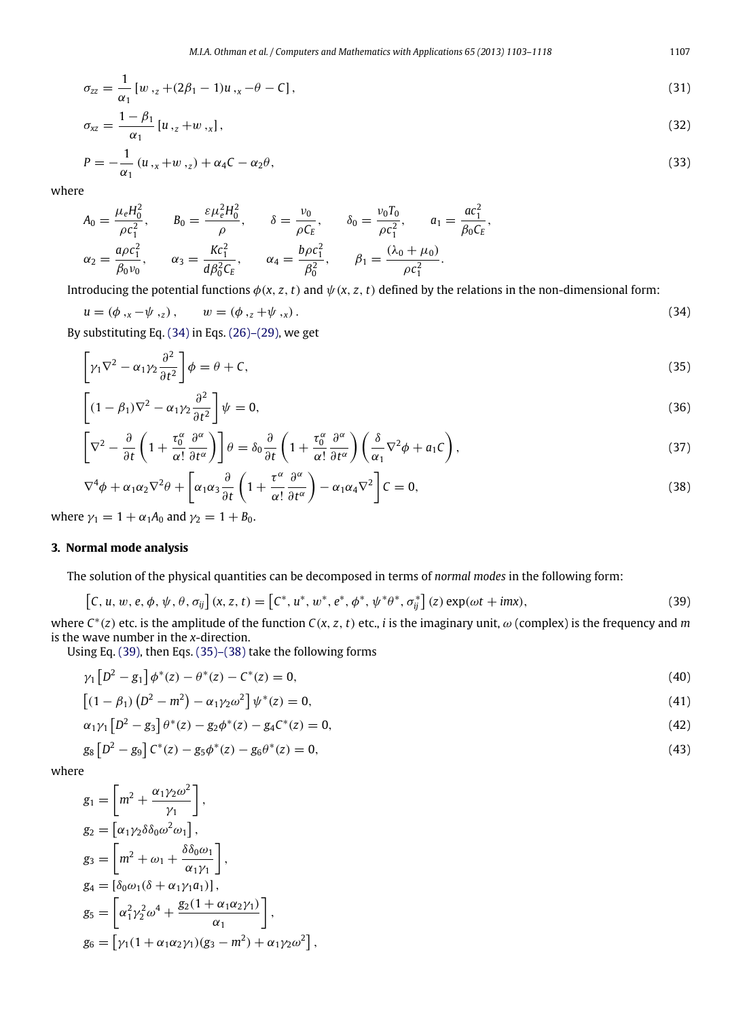$$
\sigma_{zz} = \frac{1}{\alpha_1} \left[ w_{z} + (2\beta_1 - 1)u_{z} - \theta - C \right],\tag{31}
$$

$$
\sigma_{xz} = \frac{1 - \beta_1}{\alpha_1} [u_{z} + w_{z}], \tag{32}
$$

$$
P = -\frac{1}{\alpha_1} (u_{\alpha} + w_{\alpha} - \alpha_2 \theta),
$$
\n(33)

 $A_0 = \frac{\mu_e H_0^2}{\rho c^2}$  $\frac{\mu_e H_0^2}{\rho c_1^2}, \qquad B_0 = \frac{\varepsilon \mu_e^2 H_0^2}{\rho}$ 1  $P^{\prime}$   $P^{\prime}$   $P^{\prime}$   $P^{\prime}$  $\frac{\partial^2 H_0^2}{\rho}$ ,  $\delta = \frac{\nu_0}{\rho C}$  $\frac{\nu_0}{\rho C_E}$ ,  $\delta_0 = \frac{\nu_0 T_0}{\rho c_1^2}$  $\frac{\nu_0 T_0}{\rho c_1^2}$ ,  $a_1 = \frac{ac_1^2}{\beta_0 C_1}$  $\frac{1}{\beta_0 C_E}$  $\alpha_2 = \frac{a\rho c_1^2}{\beta_0 \nu_0}$  $\frac{a\rho c_1^2}{\beta_0 v_0}, \qquad \alpha_3 = \frac{Kc_1^2}{d\beta_0^2C}$  $\frac{Kc_1^2}{d\beta_0^2C_E}$ ,  $\alpha_4 = \frac{b\rho c_1^2}{\beta_0^2}$  $\frac{\rho c_1^2}{\beta_0^2}$ ,  $\beta_1 = \frac{(\lambda_0 + \mu_0)}{\rho c_1^2}$  $\rho c_1^2$ .

Introducing the potential functions  $\phi(x, z, t)$  and  $\psi(x, z, t)$  defined by the relations in the non-dimensional form:

$$
u = (\phi_{,x} - \psi_{,z}), \qquad w = (\phi_{,z} + \psi_{,x}). \tag{34}
$$

By substituting Eq. [\(34\)](#page-4-0) in Eqs. [\(26\)–\(29\),](#page-3-2) we get

<span id="page-4-2"></span><span id="page-4-0"></span>
$$
\left[\gamma_1 \nabla^2 - \alpha_1 \gamma_2 \frac{\partial^2}{\partial t^2} \right] \phi = \theta + C,\tag{35}
$$

$$
\left[ (1 - \beta_1) \nabla^2 - \alpha_1 \gamma_2 \frac{\partial^2}{\partial t^2} \right] \psi = 0, \tag{36}
$$

$$
\left[\nabla^2 - \frac{\partial}{\partial t}\left(1 + \frac{\tau_0^{\alpha}}{\alpha!} \frac{\partial^{\alpha}}{\partial t^{\alpha}}\right)\right]\theta = \delta_0 \frac{\partial}{\partial t} \left(1 + \frac{\tau_0^{\alpha}}{\alpha!} \frac{\partial^{\alpha}}{\partial t^{\alpha}}\right) \left(\frac{\delta}{\alpha_1} \nabla^2 \phi + a_1 C\right),\tag{37}
$$

$$
\nabla^4 \phi + \alpha_1 \alpha_2 \nabla^2 \theta + \left[ \alpha_1 \alpha_3 \frac{\partial}{\partial t} \left( 1 + \frac{\tau^{\alpha}}{\alpha!} \frac{\partial^{\alpha}}{\partial t^{\alpha}} \right) - \alpha_1 \alpha_4 \nabla^2 \right] C = 0, \tag{38}
$$

where  $\gamma_1 = 1 + \alpha_1 A_0$  and  $\gamma_2 = 1 + B_0$ .

# **3. Normal mode analysis**

The solution of the physical quantities can be decomposed in terms of *normal modes* in the following form:

<span id="page-4-1"></span>
$$
[C, u, w, e, \phi, \psi, \theta, \sigma_{ij}](x, z, t) = [C^*, u^*, w^*, e^*, \phi^*, \psi^* \theta^*, \sigma_{ij}^*](z) \exp(\omega t + imx), \qquad (39)
$$

where  $C^*(z)$  etc. is the amplitude of the function  $C(x, z, t)$  etc., *i* is the imaginary unit,  $\omega$  (complex) is the frequency and *m* is the wave number in the *x*-direction.

Using Eq. [\(39\),](#page-4-1) then Eqs. [\(35\)–\(38\)](#page-4-2) take the following forms

<span id="page-4-3"></span>
$$
\gamma_1 \left[ D^2 - g_1 \right] \phi^*(z) - \theta^*(z) - C^*(z) = 0, \tag{40}
$$

$$
\left[ (1 - \beta_1) \left( D^2 - m^2 \right) - \alpha_1 \gamma_2 \omega^2 \right] \psi^*(z) = 0, \tag{41}
$$

<span id="page-4-6"></span><span id="page-4-5"></span><span id="page-4-4"></span>
$$
\alpha_1 \gamma_1 \left[ D^2 - g_3 \right] \theta^*(z) - g_2 \phi^*(z) - g_4 C^*(z) = 0, \tag{42}
$$

$$
g_8 \left[ D^2 - g_9 \right] C^*(z) - g_5 \phi^*(z) - g_6 \theta^*(z) = 0, \tag{43}
$$

where

$$
g_1 = \left[ m^2 + \frac{\alpha_1 \gamma_2 \omega^2}{\gamma_1} \right],
$$
  
\n
$$
g_2 = \left[ \alpha_1 \gamma_2 \delta \delta_0 \omega^2 \omega_1 \right],
$$
  
\n
$$
g_3 = \left[ m^2 + \omega_1 + \frac{\delta \delta_0 \omega_1}{\alpha_1 \gamma_1} \right],
$$
  
\n
$$
g_4 = \left[ \delta_0 \omega_1 (\delta + \alpha_1 \gamma_1 a_1) \right],
$$
  
\n
$$
g_5 = \left[ \alpha_1^2 \gamma_2^2 \omega^4 + \frac{g_2 (1 + \alpha_1 \alpha_2 \gamma_1)}{\alpha_1} \right],
$$
  
\n
$$
g_6 = \left[ \gamma_1 (1 + \alpha_1 \alpha_2 \gamma_1) (g_3 - m^2) + \alpha_1 \gamma_2 \omega^2 \right],
$$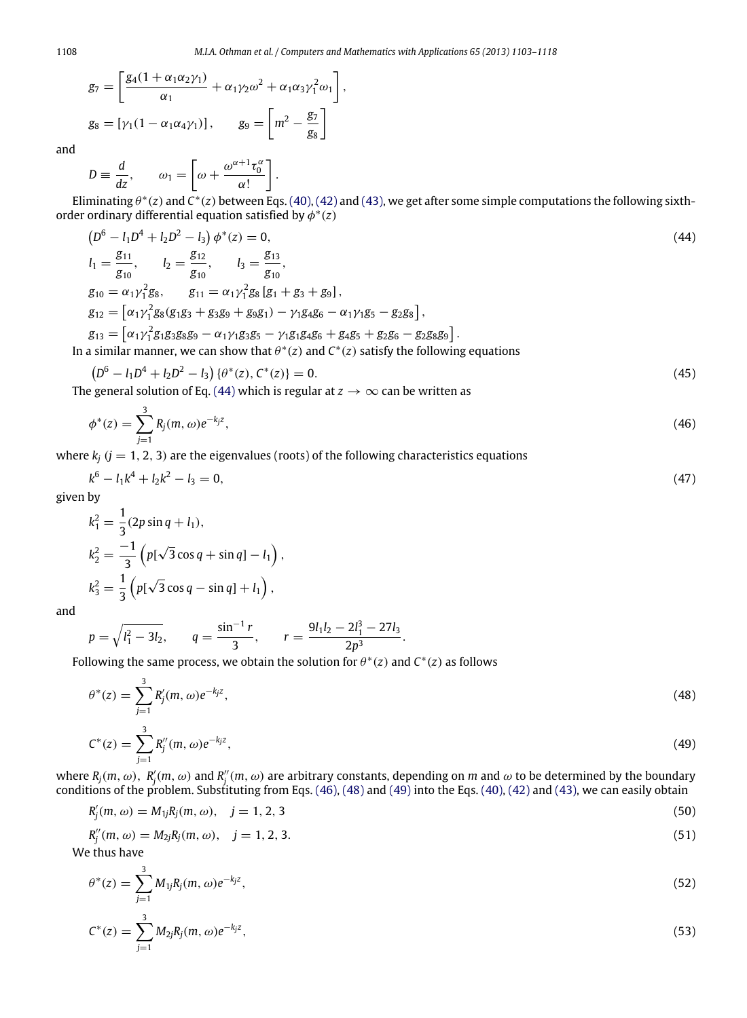$$
g_7 = \left[\frac{g_4(1+\alpha_1\alpha_2\gamma_1)}{\alpha_1} + \alpha_1\gamma_2\omega^2 + \alpha_1\alpha_3\gamma_1^2\omega_1\right],
$$
  

$$
g_8 = \left[\gamma_1(1-\alpha_1\alpha_4\gamma_1)\right], \qquad g_9 = \left[m^2 - \frac{g_7}{g_8}\right]
$$

and

 $D \equiv \frac{d}{dz}$  $\frac{d}{dz}$ ,  $\omega_1 =$  $\Gamma$  $\omega + \frac{\omega^{\alpha+1} \tau_0^{\alpha}}{\alpha!}$ α! ٦ .

Eliminating  $\theta^*(z)$  and  $C^*(z)$  between Eqs. [\(40\),](#page-4-3) [\(42\)](#page-4-4) and [\(43\),](#page-4-5) we get after some simple computations the following sixthorder ordinary differential equation satisfied by  $\phi^*(z)$ 

$$
(D6 - l1D4 + l2D2 - l3) \phi*(z) = 0,
$$
  
\n
$$
l1 = \frac{g_{11}}{g_{10}}, \qquad l2 = \frac{g_{12}}{g_{10}}, \qquad l3 = \frac{g_{13}}{g_{10}},
$$
  
\n
$$
g_{10} = \alpha_1 \gamma_1^2 g_8, \qquad g_{11} = \alpha_1 \gamma_1^2 g_8 [g_1 + g_3 + g_9],
$$
  
\n
$$
g_{12} = [\alpha_1 \gamma_1^2 g_8 (g_1 g_3 + g_3 g_9 + g_9 g_1) - \gamma_1 g_4 g_6 - \alpha_1 \gamma_1 g_5 - g_2 g_8],
$$
\n
$$
(44)
$$

$$
g_{13} = [\alpha_1 \gamma_1^2 g_1 g_3 g_8 g_9 - \alpha_1 \gamma_1 g_3 g_5 - \gamma_1 g_1 g_4 g_6 + g_4 g_5 + g_2 g_6 - g_2 g_8 g_9].
$$
  
In a similar manner, we can show that  $\theta^*(z)$  and  $C^*(z)$  satisfy the following equations

$$
(D6 - l1D4 + l2D2 - l3) \{ \theta^*(z), C^*(z) \} = 0.
$$
 (45)

The general solution of Eq. [\(44\)](#page-5-0) which is regular at  $z\to\infty$  can be written as

$$
\phi^*(z) = \sum_{j=1}^3 R_j(m, \omega) e^{-k_j z}, \tag{46}
$$

where  $k_i$  ( $j = 1, 2, 3$ ) are the eigenvalues (roots) of the following characteristics equations

$$
k^6 - l_1 k^4 + l_2 k^2 - l_3 = 0,\t\t(47)
$$

given by

$$
k_1^2 = \frac{1}{3}(2p\sin q + l_1),
$$
  
\n
$$
k_2^2 = \frac{-1}{3}\left(p[\sqrt{3}\cos q + \sin q] - l_1\right)
$$
  
\n
$$
k_3^2 = \frac{1}{3}\left(p[\sqrt{3}\cos q - \sin q] + l_1\right),
$$

and

$$
p = \sqrt{l_1^2 - 3l_2}
$$
,  $q = \frac{\sin^{-1}r}{3}$ ,  $r = \frac{9l_1l_2 - 2l_1^3 - 27l_3}{2p^3}$ .

Following the same process, we obtain the solution for  $\theta^*(z)$  and  $C^*(z)$  as follows

<span id="page-5-4"></span><span id="page-5-3"></span><span id="page-5-2"></span><span id="page-5-1"></span><span id="page-5-0"></span>,

$$
\theta^*(z) = \sum_{j=1}^3 R'_j(m,\omega)e^{-k_j z},\tag{48}
$$

$$
C^*(z) = \sum_{j=1}^3 R_j''(m,\omega)e^{-k_j z},\tag{49}
$$

where  $R_j(m,\omega)$ ,  $R'_j(m,\omega)$  and  $R''_j(m,\omega)$  are arbitrary constants, depending on *m* and  $\omega$  to be determined by the boundary conditions of the problem. Substituting from Eqs. [\(46\),](#page-5-1) [\(48\)](#page-5-2) and [\(49\)](#page-5-3) into the Eqs. [\(40\),](#page-4-3) [\(42\)](#page-4-4) and [\(43\),](#page-4-5) we can easily obtain

$$
R'_{j}(m,\omega) = M_{1j}R_{j}(m,\omega), \quad j = 1, 2, 3
$$
\n(50)

$$
R_j''(m,\omega) = M_{2j}R_j(m,\omega), \quad j = 1, 2, 3. \tag{51}
$$

We thus have

$$
\theta^*(z) = \sum_{j=1}^3 M_{1j} R_j(m, \omega) e^{-k_j z}, \tag{52}
$$

$$
C^*(z) = \sum_{j=1}^3 M_{2j} R_j(m, \omega) e^{-k_j z}, \qquad (53)
$$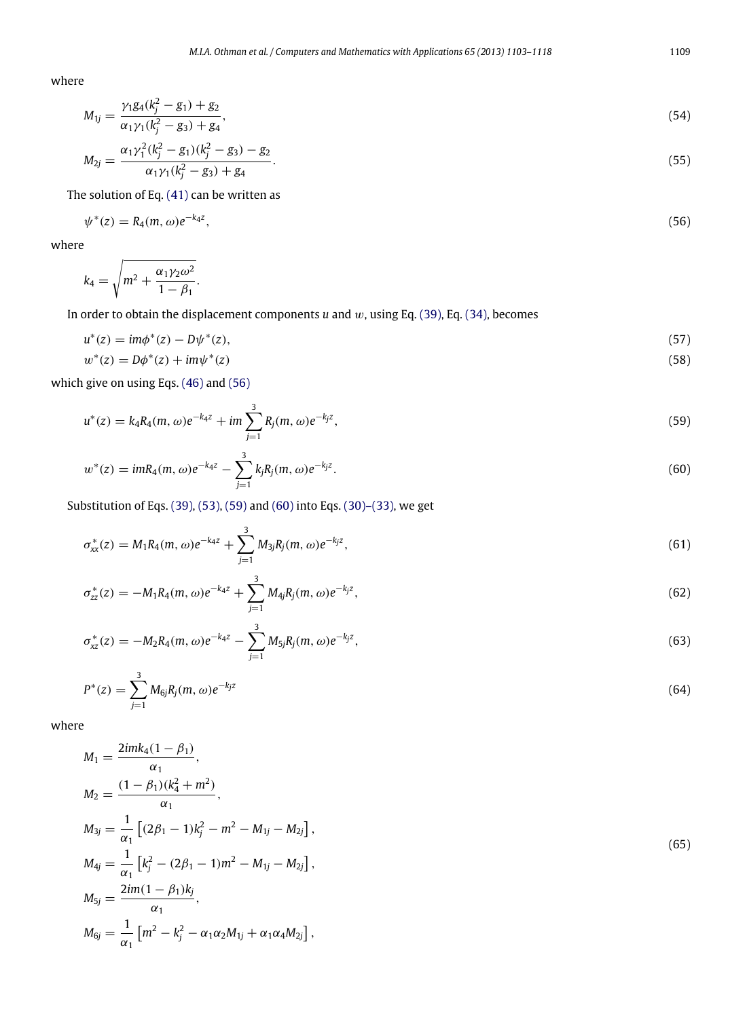$$
M_{1j} = \frac{\gamma_1 g_4(k_j^2 - g_1) + g_2}{\alpha_1 \gamma_1 (k_j^2 - g_3) + g_4},\tag{54}
$$

$$
M_{2j} = \frac{\alpha_1 \gamma_1^2 (k_j^2 - g_1)(k_j^2 - g_3) - g_2}{\alpha_1 \gamma_1 (k_j^2 - g_3) + g_4}.
$$
\n(55)

The solution of Eq. [\(41\)](#page-4-6) can be written as

<span id="page-6-0"></span>
$$
\psi^*(z) = R_4(m, \omega)e^{-k_4 z},\tag{56}
$$

where

$$
k_4 = \sqrt{m^2 + \frac{\alpha_1 \gamma_2 \omega^2}{1 - \beta_1}}.
$$

In order to obtain the displacement components *u* and w, using Eq. [\(39\),](#page-4-1) Eq. [\(34\),](#page-4-0) becomes

$$
u^*(z) = im\phi^*(z) - D\psi^*(z),
$$
\n(57)

<span id="page-6-1"></span>
$$
w^*(z) = D\phi^*(z) + im\psi^*(z)
$$
\n(58)

which give on using Eqs. [\(46\)](#page-5-1) and [\(56\)](#page-6-0)

$$
u^*(z) = k_4 R_4(m, \omega)e^{-k_4 z} + im \sum_{j=1}^3 R_j(m, \omega)e^{-k_j z}, \qquad (59)
$$

<span id="page-6-2"></span>
$$
w^*(z) = imR_4(m, \omega)e^{-k_4 z} - \sum_{j=1}^3 k_j R_j(m, \omega)e^{-k_j z}.
$$
\n(60)

Substitution of Eqs. [\(39\),](#page-4-1) [\(53\),](#page-5-4) [\(59\)](#page-6-1) and [\(60\)](#page-6-2) into Eqs. [\(30\)–\(33\),](#page-3-3) we get

$$
\sigma_{xx}^*(z) = M_1 R_4(m,\omega) e^{-k_4 z} + \sum_{j=1}^3 M_{3j} R_j(m,\omega) e^{-k_j z}, \qquad (61)
$$

$$
\sigma_{zz}^*(z) = -M_1 R_4(m,\omega) e^{-k_4 z} + \sum_{j=1}^3 M_{4j} R_j(m,\omega) e^{-k_j z}, \qquad (62)
$$

$$
\sigma_{xz}^*(z) = -M_2 R_4(m,\omega)e^{-k_4 z} - \sum_{j=1}^3 M_{5j} R_j(m,\omega)e^{-k_j z},\tag{63}
$$

$$
P^*(z) = \sum_{j=1}^3 M_{6j} R_j(m, \omega) e^{-k_j z}
$$
(64)

where

$$
M_{1} = \frac{2imk_{4}(1 - \beta_{1})}{\alpha_{1}},
$$
  
\n
$$
M_{2} = \frac{(1 - \beta_{1})(k_{4}^{2} + m^{2})}{\alpha_{1}},
$$
  
\n
$$
M_{3j} = \frac{1}{\alpha_{1}} [(2\beta_{1} - 1)k_{j}^{2} - m^{2} - M_{1j} - M_{2j}],
$$
  
\n
$$
M_{4j} = \frac{1}{\alpha_{1}} [k_{j}^{2} - (2\beta_{1} - 1)m^{2} - M_{1j} - M_{2j}],
$$
  
\n
$$
M_{5j} = \frac{2im(1 - \beta_{1})k_{j}}{\alpha_{1}},
$$
  
\n
$$
M_{6j} = \frac{1}{\alpha_{1}} [m^{2} - k_{j}^{2} - \alpha_{1}\alpha_{2}M_{1j} + \alpha_{1}\alpha_{4}M_{2j}],
$$
\n(65)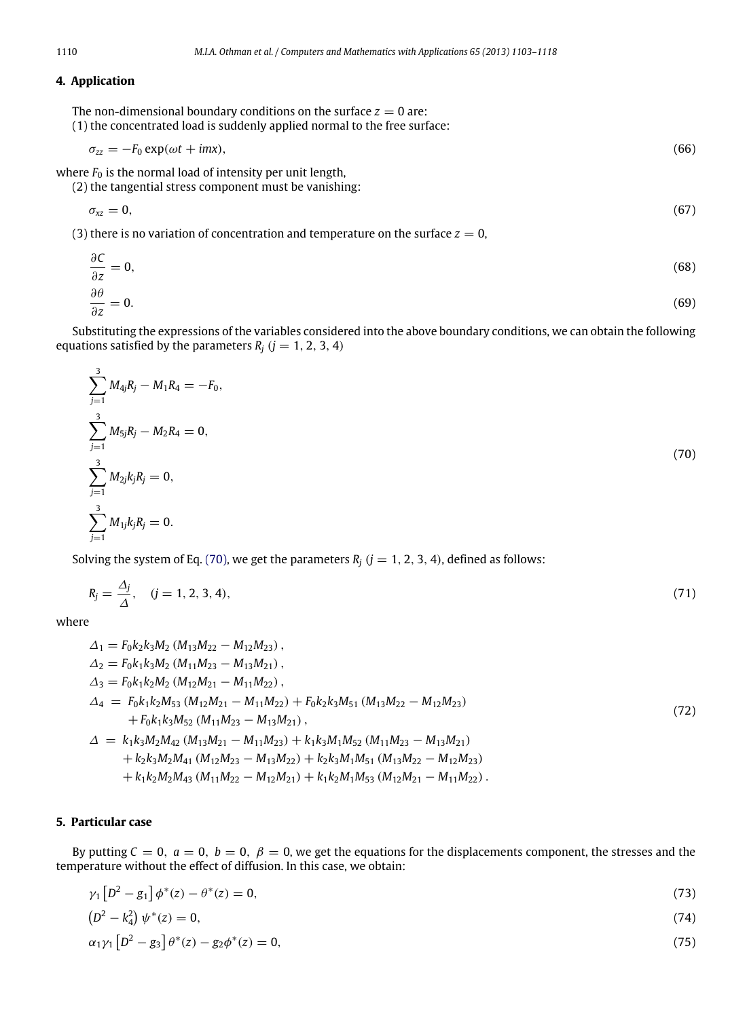# **4. Application**

The non-dimensional boundary conditions on the surface  $z = 0$  are: (1) the concentrated load is suddenly applied normal to the free surface:

$$
\sigma_{zz} = -F_0 \exp(\omega t + imx),\tag{66}
$$

where  $F_0$  is the normal load of intensity per unit length, (2) the tangential stress component must be vanishing:

$$
\sigma_{xz} = 0, \tag{67}
$$

(3) there is no variation of concentration and temperature on the surface  $z = 0$ ,

$$
\frac{\partial C}{\partial z} = 0,
$$
\n
$$
\frac{\partial \theta}{\partial z} = 0.
$$
\n(68)

Substituting the expressions of the variables considered into the above boundary conditions, we can obtain the following equations satisfied by the parameters 
$$
R_i
$$
 ( $j = 1, 2, 3, 4$ )

<span id="page-7-0"></span>
$$
\sum_{j=1}^{3} M_{4j}R_j - M_1R_4 = -F_0,
$$
  

$$
\sum_{j=1}^{3} M_{5j}R_j - M_2R_4 = 0,
$$
  

$$
\sum_{j=1}^{3} M_{2j}k_jR_j = 0,
$$
  

$$
\sum_{j=1}^{3} M_{1j}k_jR_j = 0.
$$
 (70)

Solving the system of Eq. [\(70\),](#page-7-0) we get the parameters  $R_j$  ( $j = 1, 2, 3, 4$ ), defined as follows:

$$
R_j = \frac{\Delta_j}{\Delta}, \quad (j = 1, 2, 3, 4), \tag{71}
$$

where

$$
\Delta_1 = F_0 k_2 k_3 M_2 (M_{13} M_{22} - M_{12} M_{23}),
$$
  
\n
$$
\Delta_2 = F_0 k_1 k_3 M_2 (M_{11} M_{23} - M_{13} M_{21}),
$$
  
\n
$$
\Delta_3 = F_0 k_1 k_2 M_2 (M_{12} M_{21} - M_{11} M_{22}),
$$
  
\n
$$
\Delta_4 = F_0 k_1 k_2 M_5 (M_{12} M_{21} - M_{11} M_{22}) + F_0 k_2 k_3 M_{51} (M_{13} M_{22} - M_{12} M_{23})
$$
  
\n
$$
+ F_0 k_1 k_3 M_{52} (M_{11} M_{23} - M_{13} M_{21}),
$$
  
\n
$$
\Delta = k_1 k_3 M_2 M_{42} (M_{13} M_{21} - M_{11} M_{23}) + k_1 k_3 M_1 M_{52} (M_{11} M_{23} - M_{13} M_{21})
$$
  
\n
$$
+ k_2 k_3 M_2 M_{41} (M_{12} M_{23} - M_{13} M_{22}) + k_2 k_3 M_1 M_{51} (M_{13} M_{22} - M_{12} M_{23})
$$
  
\n
$$
+ k_1 k_2 M_2 M_{43} (M_{11} M_{22} - M_{12} M_{21}) + k_1 k_2 M_1 M_{53} (M_{12} M_{21} - M_{11} M_{22}).
$$
  
\n(72)

# **5. Particular case**

 $\sim 10$ 

 $\mathcal{L}$ 

By putting  $C = 0$ ,  $a = 0$ ,  $b = 0$ ,  $\beta = 0$ , we get the equations for the displacements component, the stresses and the temperature without the effect of diffusion. In this case, we obtain:

$$
\gamma_1 \left[ D^2 - g_1 \right] \phi^*(z) - \theta^*(z) = 0, \tag{73}
$$

$$
(D2 - k42) \psi^*(z) = 0,
$$
\n(74)

$$
\alpha_1 \gamma_1 \left[ D^2 - g_3 \right] \theta^*(z) - g_2 \phi^*(z) = 0, \tag{75}
$$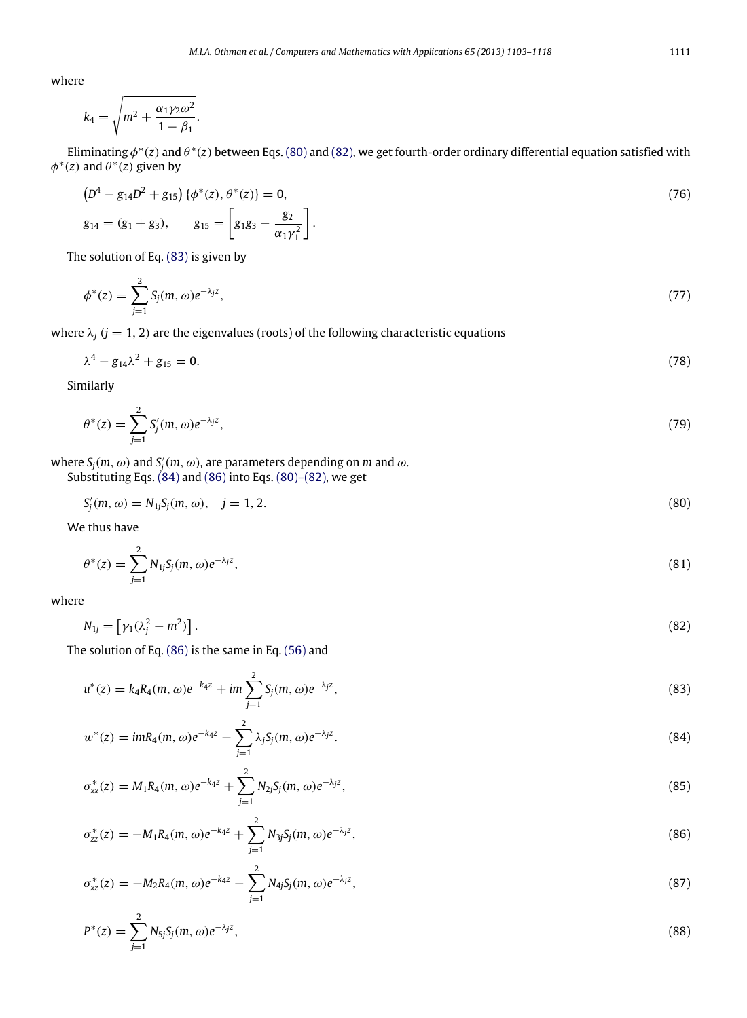$$
k_4 = \sqrt{m^2 + \frac{\alpha_1 \gamma_2 \omega^2}{1 - \beta_1}}.
$$

Eliminating  $\phi^*(z)$  and  $\theta^*(z)$  between Eqs. [\(80\)](#page-8-0) and [\(82\),](#page-8-1) we get fourth-order ordinary differential equation satisfied with  $\phi^*(z)$  and  $\theta^*(z)$  given by

$$
\left(D^4 - g_{14}D^2 + g_{15}\right)\left\{\phi^*(z), \theta^*(z)\right\} = 0,
$$
\n
$$
g_{14} = (g_1 + g_3), \qquad g_{15} = \left[g_1g_3 - \frac{g_2}{\alpha_1\gamma_1^2}\right].
$$
\n(76)

The solution of Eq. [\(83\)](#page-8-2) is given by

$$
\phi^*(z) = \sum_{j=1}^2 S_j(m, \omega) e^{-\lambda_j z},\tag{77}
$$

where  $\lambda_j$  ( $j = 1, 2$ ) are the eigenvalues (roots) of the following characteristic equations

$$
\lambda^4 - g_{14}\lambda^2 + g_{15} = 0. \tag{78}
$$

Similarly

$$
\theta^*(z) = \sum_{j=1}^2 S_j'(m,\omega)e^{-\lambda_j z},\tag{79}
$$

where  $S_j(m,\omega)$  and  $S'_j(m,\omega)$ , are parameters depending on  $m$  and  $\omega$ .

Substituting Eqs. [\(84\)](#page-8-3) and [\(86\)](#page-8-4) into Eqs. [\(80\)–\(82\),](#page-8-0) we get

<span id="page-8-0"></span>
$$
S'_{j}(m,\omega) = N_{1j}S_{j}(m,\omega), \quad j = 1, 2. \tag{80}
$$

We thus have

$$
\theta^*(z) = \sum_{j=1}^2 N_{1j} S_j(m,\omega) e^{-\lambda_j z},\tag{81}
$$

where

<span id="page-8-2"></span><span id="page-8-1"></span>
$$
N_{1j} = \left[\gamma_1(\lambda_j^2 - m^2)\right].\tag{82}
$$

The solution of Eq. [\(86\)](#page-8-4) is the same in Eq. [\(56\)](#page-6-0) and

$$
u^*(z) = k_4 R_4(m, \omega) e^{-k_4 z} + im \sum_{j=1}^2 S_j(m, \omega) e^{-\lambda_j z}, \qquad (83)
$$

<span id="page-8-3"></span>
$$
w^*(z) = imR_4(m, \omega)e^{-k_4 z} - \sum_{j=1}^2 \lambda_j S_j(m, \omega)e^{-\lambda_j z}.
$$
\n(84)

$$
\sigma_{xx}^*(z) = M_1 R_4(m,\omega) e^{-k_4 z} + \sum_{j=1}^2 N_{2j} S_j(m,\omega) e^{-\lambda_j z}, \qquad (85)
$$

<span id="page-8-4"></span>
$$
\sigma_{zz}^*(z) = -M_1 R_4(m,\omega) e^{-k_4 z} + \sum_{j=1}^2 N_{3j} S_j(m,\omega) e^{-\lambda_j z},\tag{86}
$$

$$
\sigma_{xz}^*(z) = -M_2 R_4(m,\omega) e^{-k_4 z} - \sum_{j=1}^2 N_{4j} S_j(m,\omega) e^{-\lambda_j z},\tag{87}
$$

$$
P^*(z) = \sum_{j=1}^{2} N_{5j} S_j(m, \omega) e^{-\lambda_j z}, \qquad (88)
$$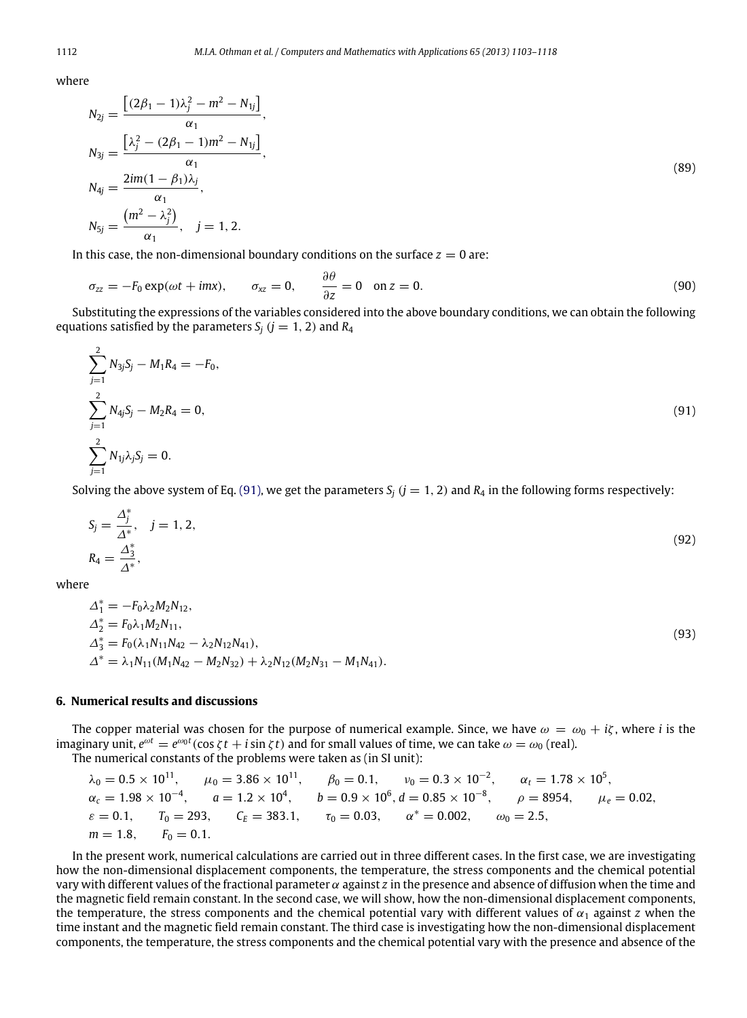$$
N_{2j} = \frac{\left[ (2\beta_1 - 1)\lambda_j^2 - m^2 - N_{1j} \right]}{\alpha_1},
$$
  
\n
$$
N_{3j} = \frac{\left[ \lambda_j^2 - (2\beta_1 - 1)m^2 - N_{1j} \right]}{\alpha_1},
$$
  
\n
$$
N_{4j} = \frac{2im(1 - \beta_1)\lambda_j}{\alpha_1},
$$
  
\n
$$
N_{5j} = \frac{\left( m^2 - \lambda_j^2 \right)}{\alpha_1}, \quad j = 1, 2.
$$
  
\n(89)

In this case, the non-dimensional boundary conditions on the surface  $z = 0$  are:

<span id="page-9-0"></span>
$$
\sigma_{zz} = -F_0 \exp(\omega t + imx), \qquad \sigma_{xz} = 0, \qquad \frac{\partial \theta}{\partial z} = 0 \quad \text{on } z = 0.
$$
 (90)

Substituting the expressions of the variables considered into the above boundary conditions, we can obtain the following equations satisfied by the parameters  $S_i$  ( $j = 1, 2$ ) and  $R_4$ 

$$
\sum_{j=1}^{2} N_{3j} S_j - M_1 R_4 = -F_0,
$$
  

$$
\sum_{j=1}^{2} N_{4j} S_j - M_2 R_4 = 0,
$$
  

$$
\sum_{j=1}^{2} N_{1j} \lambda_j S_j = 0.
$$
 (91)

Solving the above system of Eq. [\(91\),](#page-9-0) we get the parameters  $S_i$  ( $j = 1, 2$ ) and  $R_4$  in the following forms respectively:

$$
S_j = \frac{\Delta_j^*}{\Delta^*}, \quad j = 1, 2,
$$
  
\n
$$
R_4 = \frac{\Delta_3^*}{\Delta^*},
$$
\n(92)

where

$$
\Delta_1^* = -F_0 \lambda_2 M_2 N_{12},
$$
  
\n
$$
\Delta_2^* = F_0 \lambda_1 M_2 N_{11},
$$
  
\n
$$
\Delta_3^* = F_0 (\lambda_1 N_{11} N_{42} - \lambda_2 N_{12} N_{41}),
$$
  
\n
$$
\Delta_3^* = \lambda_1 N_{11} (M_1 N_{42} - M_2 N_{32}) + \lambda_2 N_{12} (M_2 N_{31} - M_1 N_{41}).
$$
\n(93)

#### **6. Numerical results and discussions**

The copper material was chosen for the purpose of numerical example. Since, we have  $\omega = \omega_0 + i\zeta$ , where *i* is the imaginary unit,  $e^{\omega t} = e^{\omega_0 t} (\cos \zeta t + i \sin \zeta t)$  and for small values of time, we can take  $\omega = \omega_0$  (real).

The numerical constants of the problems were taken as (in SI unit):

$$
\lambda_0 = 0.5 \times 10^{11}
$$
,  $\mu_0 = 3.86 \times 10^{11}$ ,  $\beta_0 = 0.1$ ,  $v_0 = 0.3 \times 10^{-2}$ ,  $\alpha_t = 1.78 \times 10^5$ ,  
\n $\alpha_c = 1.98 \times 10^{-4}$ ,  $a = 1.2 \times 10^4$ ,  $b = 0.9 \times 10^6$ ,  $d = 0.85 \times 10^{-8}$ ,  $\rho = 8954$ ,  $\mu_e = 0.02$ ,  
\n $\varepsilon = 0.1$ ,  $T_0 = 293$ ,  $C_E = 383.1$ ,  $\tau_0 = 0.03$ ,  $\alpha^* = 0.002$ ,  $\omega_0 = 2.5$ ,  
\n $m = 1.8$ ,  $F_0 = 0.1$ .

In the present work, numerical calculations are carried out in three different cases. In the first case, we are investigating how the non-dimensional displacement components, the temperature, the stress components and the chemical potential vary with different values of the fractional parameter  $\alpha$  against *z* in the presence and absence of diffusion when the time and the magnetic field remain constant. In the second case, we will show, how the non-dimensional displacement components, the temperature, the stress components and the chemical potential vary with different values of  $\alpha_1$  against *z* when the time instant and the magnetic field remain constant. The third case is investigating how the non-dimensional displacement components, the temperature, the stress components and the chemical potential vary with the presence and absence of the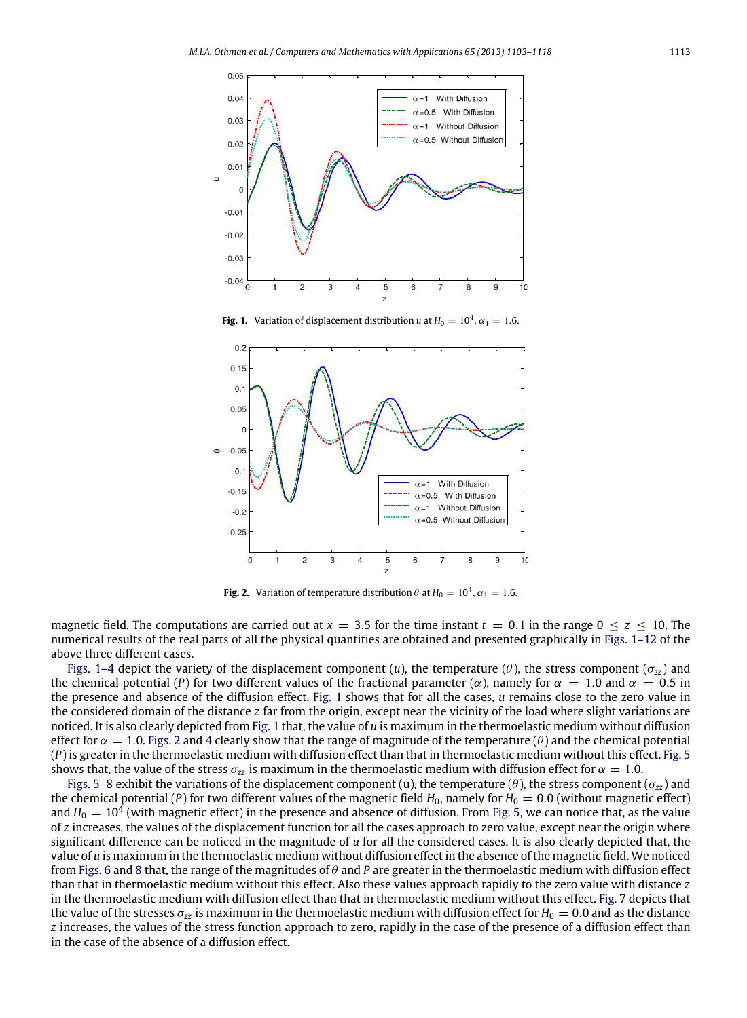<span id="page-10-0"></span>

**Fig. 1.** Variation of displacement distribution *u* at  $H_0 = 10^4$ ,  $\alpha_1 = 1.6$ .

<span id="page-10-1"></span>

**Fig. 2.** Variation of temperature distribution  $\theta$  at  $H_0 = 10^4$ ,  $\alpha_1 = 1.6$ .

magnetic field. The computations are carried out at  $x = 3.5$  for the time instant  $t = 0.1$  in the range  $0 \le z \le 10$ . The numerical results of the real parts of all the physical quantities are obtained and presented graphically in [Figs. 1–12](#page-10-0) of the above three different cases.

[Figs. 1–4](#page-10-0) depict the variety of the displacement component (*u*), the temperature (θ), the stress component (σ*zz* ) and the chemical potential (*P*) for two different values of the fractional parameter ( $\alpha$ ), namely for  $\alpha = 1.0$  and  $\alpha = 0.5$  in the presence and absence of the diffusion effect. [Fig. 1](#page-10-0) shows that for all the cases, *u* remains close to the zero value in the considered domain of the distance *z* far from the origin, except near the vicinity of the load where slight variations are noticed. It is also clearly depicted from [Fig. 1](#page-10-0) that, the value of *u* is maximum in the thermoelastic medium without diffusion effect for  $\alpha = 1.0$ . [Figs. 2](#page-10-1) and [4](#page-11-0) clearly show that the range of magnitude of the temperature ( $\theta$ ) and the chemical potential (*P*) is greater in the thermoelastic medium with diffusion effect than that in thermoelastic medium without this effect. [Fig. 5](#page-11-1) shows that, the value of the stress  $\sigma_{77}$  is maximum in the thermoelastic medium with diffusion effect for  $\alpha = 1.0$ .

[Figs. 5–8](#page-11-1) exhibit the variations of the displacement component (u), the temperature (θ), the stress component (σ*zz* ) and the chemical potential (*P*) for two different values of the magnetic field  $H_0$ , namely for  $H_0 = 0.0$  (without magnetic effect) and  $H_0 = 10^4$  (with magnetic effect) in the presence and absence of diffusion. From [Fig. 5,](#page-11-1) we can notice that, as the value of *z* increases, the values of the displacement function for all the cases approach to zero value, except near the origin where significant difference can be noticed in the magnitude of *u* for all the considered cases. It is also clearly depicted that, the value of *u* is maximum in the thermoelastic medium without diffusion effect in the absence of the magnetic field. We noticed from [Figs. 6](#page-12-0) and [8](#page-12-1) that, the range of the magnitudes of θ and *P* are greater in the thermoelastic medium with diffusion effect than that in thermoelastic medium without this effect. Also these values approach rapidly to the zero value with distance *z* in the thermoelastic medium with diffusion effect than that in thermoelastic medium without this effect. [Fig. 7](#page-12-2) depicts that the value of the stresses  $\sigma_{zz}$  is maximum in the thermoelastic medium with diffusion effect for  $H_0 = 0.0$  and as the distance *z* increases, the values of the stress function approach to zero, rapidly in the case of the presence of a diffusion effect than in the case of the absence of a diffusion effect.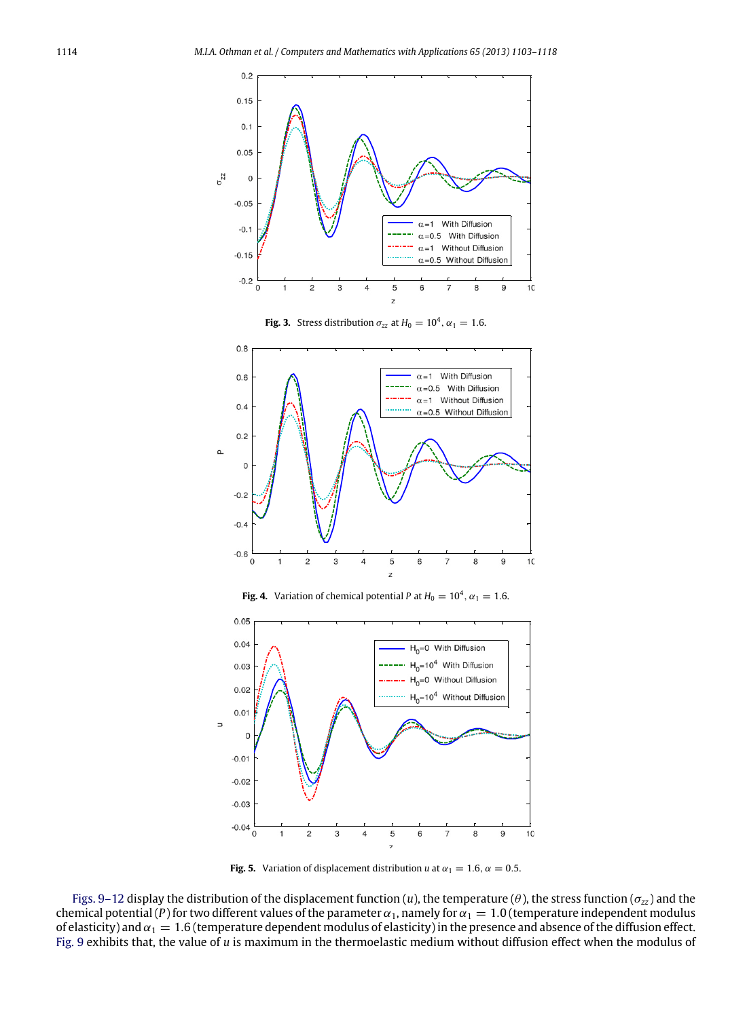

**Fig. 3.** Stress distribution  $\sigma_{zz}$  at  $H_0 = 10^4$ ,  $\alpha_1 = 1.6$ .

<span id="page-11-0"></span>

**Fig. 4.** Variation of chemical potential *P* at  $H_0 = 10^4$ ,  $\alpha_1 = 1.6$ .

<span id="page-11-1"></span>

**Fig. 5.** Variation of displacement distribution *u* at  $\alpha_1 = 1.6$ ,  $\alpha = 0.5$ .

[Figs. 9–12](#page-13-0) display the distribution of the displacement function (*u*), the temperature ( $\theta$ ), the stress function ( $\sigma_{zz}$ ) and the chemical potential (*P*) for two different values of the parameter  $\alpha_1$ , namely for  $\alpha_1 = 1.0$  (temperature independent modulus of elasticity) and  $\alpha_1 = 1.6$  (temperature dependent modulus of elasticity) in the presence and absence of the diffusion effect. [Fig. 9](#page-13-0) exhibits that, the value of *u* is maximum in the thermoelastic medium without diffusion effect when the modulus of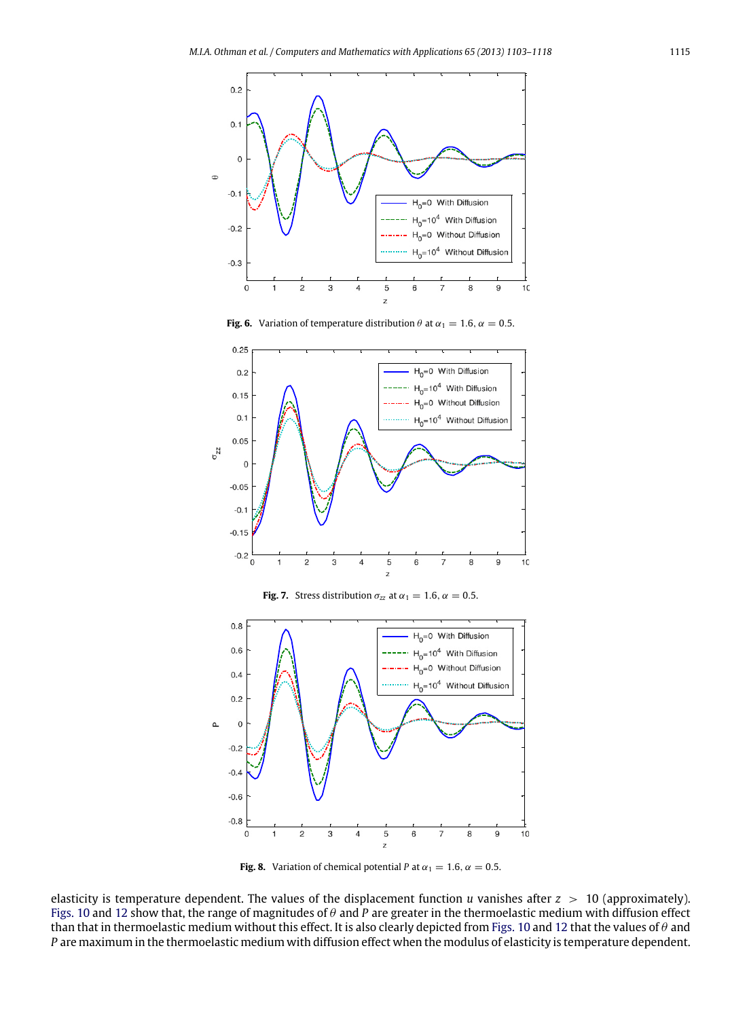<span id="page-12-0"></span>

**Fig. 6.** Variation of temperature distribution  $\theta$  at  $\alpha_1 = 1.6$ ,  $\alpha = 0.5$ .

<span id="page-12-2"></span>

**Fig. 7.** Stress distribution  $\sigma_{zz}$  at  $\alpha_1 = 1.6$ ,  $\alpha = 0.5$ .

<span id="page-12-1"></span>

**Fig. 8.** Variation of chemical potential *P* at  $\alpha_1 = 1.6$ ,  $\alpha = 0.5$ .

elasticity is temperature dependent. The values of the displacement function *u* vanishes after *z* > 10 (approximately). [Figs. 10](#page-13-1) and [12](#page-14-14) show that, the range of magnitudes of θ and *P* are greater in the thermoelastic medium with diffusion effect than that in thermoelastic medium without this effect. It is also clearly depicted from [Figs. 10](#page-13-1) and [12](#page-14-14) that the values of  $\theta$  and *P* are maximum in the thermoelastic medium with diffusion effect when the modulus of elasticity is temperature dependent.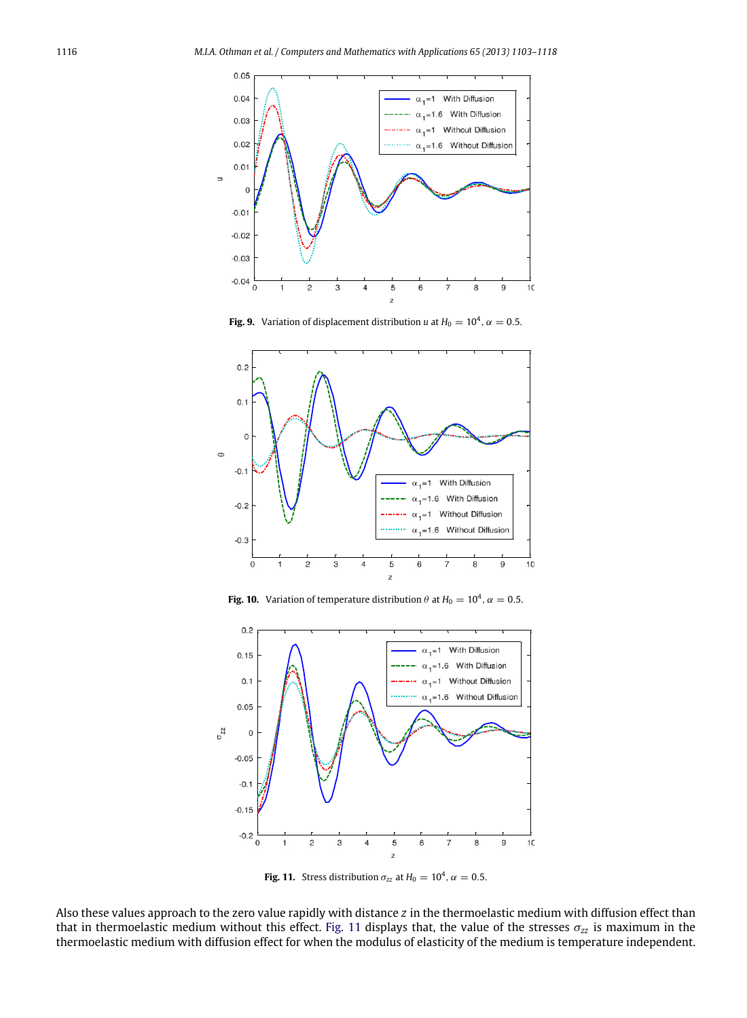<span id="page-13-0"></span>

**Fig. 9.** Variation of displacement distribution *u* at  $H_0 = 10^4$ ,  $\alpha = 0.5$ .

<span id="page-13-1"></span>

**Fig. 10.** Variation of temperature distribution  $\theta$  at  $H_0 = 10^4$ ,  $\alpha = 0.5$ .

<span id="page-13-2"></span>

**Fig. 11.** Stress distribution  $\sigma_{zz}$  at  $H_0 = 10^4$ ,  $\alpha = 0.5$ .

Also these values approach to the zero value rapidly with distance *z* in the thermoelastic medium with diffusion effect than that in thermoelastic medium without this effect. [Fig. 11](#page-13-2) displays that, the value of the stresses  $\sigma_{zz}$  is maximum in the thermoelastic medium with diffusion effect for when the modulus of elasticity of the medium is temperature independent.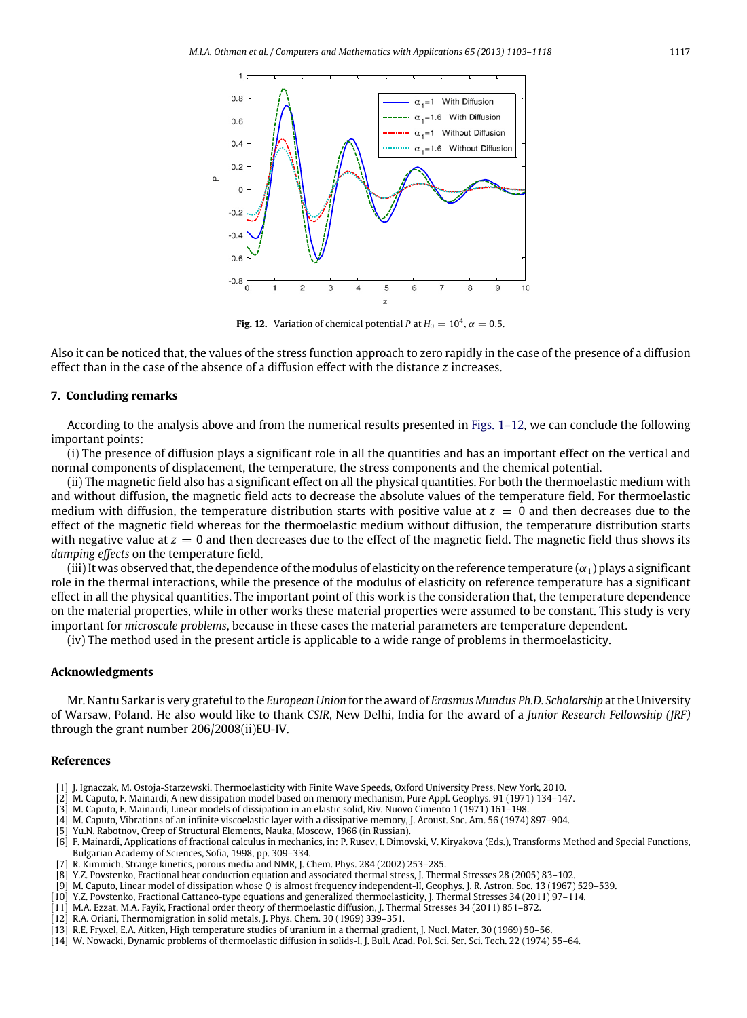<span id="page-14-14"></span>

**Fig. 12.** Variation of chemical potential *P* at  $H_0 = 10^4$ ,  $\alpha = 0.5$ .

Also it can be noticed that, the values of the stress function approach to zero rapidly in the case of the presence of a diffusion effect than in the case of the absence of a diffusion effect with the distance *z* increases.

#### **7. Concluding remarks**

According to the analysis above and from the numerical results presented in [Figs. 1–12,](#page-10-0) we can conclude the following important points:

(i) The presence of diffusion plays a significant role in all the quantities and has an important effect on the vertical and normal components of displacement, the temperature, the stress components and the chemical potential.

(ii) The magnetic field also has a significant effect on all the physical quantities. For both the thermoelastic medium with and without diffusion, the magnetic field acts to decrease the absolute values of the temperature field. For thermoelastic medium with diffusion, the temperature distribution starts with positive value at  $z = 0$  and then decreases due to the effect of the magnetic field whereas for the thermoelastic medium without diffusion, the temperature distribution starts with negative value at  $z = 0$  and then decreases due to the effect of the magnetic field. The magnetic field thus shows its *damping effects* on the temperature field.

(iii) It was observed that, the dependence of the modulus of elasticity on the reference temperature  $(\alpha_1)$  plays a significant role in the thermal interactions, while the presence of the modulus of elasticity on reference temperature has a significant effect in all the physical quantities. The important point of this work is the consideration that, the temperature dependence on the material properties, while in other works these material properties were assumed to be constant. This study is very important for *microscale problems*, because in these cases the material parameters are temperature dependent.

(iv) The method used in the present article is applicable to a wide range of problems in thermoelasticity.

#### **Acknowledgments**

Mr. Nantu Sarkar is very grateful to the *European Union* for the award of *Erasmus Mundus Ph.D. Scholarship* at the University of Warsaw, Poland. He also would like to thank *CSIR*, New Delhi, India for the award of a *Junior Research Fellowship (JRF)* through the grant number 206/2008(ii)EU-IV.

## **References**

- <span id="page-14-0"></span>[1] J. Ignaczak, M. Ostoja-Starzewski, Thermoelasticity with Finite Wave Speeds, Oxford University Press, New York, 2010.
- <span id="page-14-1"></span>[2] M. Caputo, F. Mainardi, A new dissipation model based on memory mechanism, Pure Appl. Geophys. 91 (1971) 134–147.
- <span id="page-14-2"></span>[3] M. Caputo, F. Mainardi, Linear models of dissipation in an elastic solid, Riv. Nuovo Cimento 1 (1971) 161–198.
- <span id="page-14-3"></span>[4] M. Caputo, Vibrations of an infinite viscoelastic layer with a dissipative memory, J. Acoust. Soc. Am. 56 (1974) 897–904.
- <span id="page-14-4"></span>[5] Yu.N. Rabotnov, Creep of Structural Elements, Nauka, Moscow, 1966 (in Russian).
- <span id="page-14-5"></span>[6] F. Mainardi, Applications of fractional calculus in mechanics, in: P. Rusev, I. Dimovski, V. Kiryakova (Eds.), Transforms Method and Special Functions, Bulgarian Academy of Sciences, Sofia, 1998, pp. 309–334.
- <span id="page-14-6"></span>[7] R. Kimmich, Strange kinetics, porous media and NMR, J. Chem. Phys. 284 (2002) 253–285.
- <span id="page-14-7"></span>[8] Y.Z. Povstenko, Fractional heat conduction equation and associated thermal stress, J. Thermal Stresses 28 (2005) 83–102.
- <span id="page-14-8"></span>[9] M. Caputo, Linear model of dissipation whose *Q* is almost frequency independent-II, Geophys. J. R. Astron. Soc. 13 (1967) 529–539.
- <span id="page-14-9"></span>[10] Y.Z. Povstenko, Fractional Cattaneo-type equations and generalized thermoelasticity, J. Thermal Stresses 34 (2011) 97–114.
- <span id="page-14-10"></span>[11] M.A. Ezzat, M.A. Fayik, Fractional order theory of thermoelastic diffusion, J. Thermal Stresses 34 (2011) 851–872.
- <span id="page-14-11"></span>[12] R.A. Oriani, Thermomigration in solid metals, J. Phys. Chem. 30 (1969) 339–351.
- <span id="page-14-12"></span>[13] R.E. Fryxel, E.A. Aitken, High temperature studies of uranium in a thermal gradient, J. Nucl. Mater. 30 (1969) 50–56.
- <span id="page-14-13"></span>[14] W. Nowacki, Dynamic problems of thermoelastic diffusion in solids-I, J. Bull. Acad. Pol. Sci. Ser. Sci. Tech. 22 (1974) 55–64.